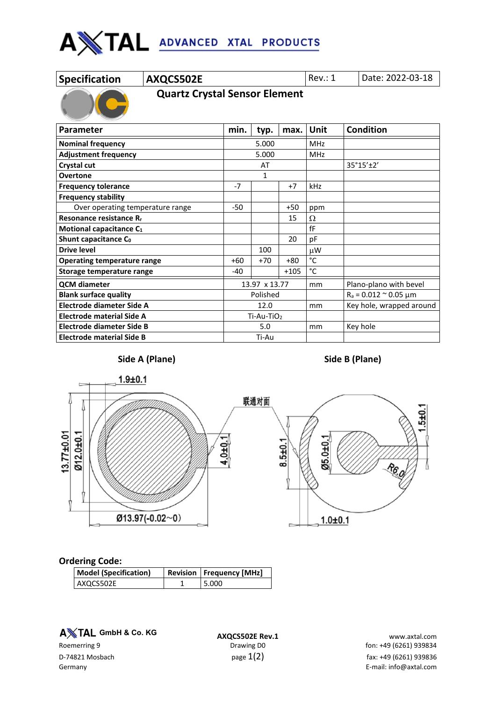

| <b>Specification</b> |  |
|----------------------|--|
|                      |  |

**AXQCS502E** Rev.: 1 Date: 2022-03-18

 **Quartz Crystal Sensor Element**

| <b>Parameter</b>                    | min.  | typ.          | max.   | Unit       | <b>Condition</b>                 |  |
|-------------------------------------|-------|---------------|--------|------------|----------------------------------|--|
| <b>Nominal frequency</b>            |       | 5.000         |        | <b>MHz</b> |                                  |  |
| <b>Adjustment frequency</b>         |       | 5.000         |        | <b>MHz</b> |                                  |  |
| Crystal cut                         |       | AT            |        |            | 35°15'±2'                        |  |
| <b>Overtone</b>                     |       | 1             |        |            |                                  |  |
| <b>Frequency tolerance</b>          | $-7$  |               | $+7$   | kHz        |                                  |  |
| <b>Frequency stability</b>          |       |               |        |            |                                  |  |
| Over operating temperature range    | $-50$ |               | $+50$  | ppm        |                                  |  |
| Resonance resistance R <sub>r</sub> |       |               | 15     | Ω          |                                  |  |
| Motional capacitance C <sub>1</sub> |       |               |        | fF         |                                  |  |
| Shunt capacitance C <sub>0</sub>    |       |               | 20     | pF         |                                  |  |
| <b>Drive level</b>                  |       | 100           |        | μW         |                                  |  |
| <b>Operating temperature range</b>  | $+60$ | $+70$         | $+80$  | °C         |                                  |  |
| Storage temperature range           | -40   |               | $+105$ | °C         |                                  |  |
| <b>QCM</b> diameter                 |       | 13.97 x 13.77 |        | mm         | Plano-plano with bevel           |  |
| <b>Blank surface quality</b>        |       | Polished      |        |            | $R_a = 0.012 \approx 0.05 \mu m$ |  |
| Electrode diameter Side A           |       | 12.0          |        | mm         | Key hole, wrapped around         |  |
| <b>Electrode material Side A</b>    |       | $Ti-Au-TiO2$  |        |            |                                  |  |
| Electrode diameter Side B           |       | 5.0           |        | mm         | Key hole                         |  |
| Electrode material Side B           |       | Ti-Au         |        |            |                                  |  |





## **Ordering Code:**

| <b>Model (Specification)</b> | Revision   Frequency [MHz] |
|------------------------------|----------------------------|
| AXQCS502E                    | 5.000                      |

**A** $X$ TAL GmbH & Co. KG

**A TAL GmbH & Co. KG**<br>**AXQCS502E Rev.1** www.axtal.com **www.axtal.com**<br>fon: +49 (6261) 939834 fon: +49 (6261) fon: +49 (6261) 939834 D-74821 Mosbach  $p$ age  $1(2)$   $p$ age  $1(2)$  fax: +49 (6261) 939836 Germany E-mail: info@axtal.com